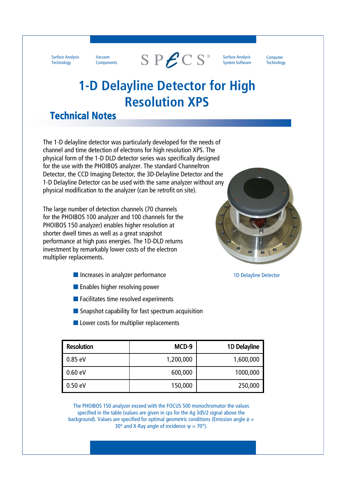Surface Analysis **Technology** 

Vacuum **Components** 



Surface Analysis System Software **Computer** Technology

## **1-D Delayline Detector for High Resolution XPS**

### **Technical Notes**

The 1-D delayline detector was particularly developed for the needs of channel and time detection of electrons for high resolution XPS. The physical form of the 1-D DLD detector series was specifically designed for the use with the PHOIBOS analyzer. The standard Channeltron Detector, the CCD Imaging Detector, the 3D-Delayline Detector and the 1-D Delayline Detector can be used with the same analyzer without any physical modification to the analyzer (can be retrofit on site).

The large number of detection channels (70 channels for the PHOIBOS 100 analyzer and 100 channels for the PHOIBOS 150 analyzer) enables higher resolution at shorter dwell times as well as a great snapshot performance at high pass energies. The 1D-DLD returns investment by remarkably lower costs of the electron multiplier replacements.

- Increases in analyzer performance 1D Delayline Detector
- Enables higher resolving power
- Facilitates time resolved experiments
- Snapshot capability for fast spectrum acquisition
- Lower costs for multiplier replacements

| <b>Resolution</b> | MCD-9     | 1D Delayline |
|-------------------|-----------|--------------|
| 0.85 eV           | 1,200,000 | 1,600,000    |
| 0.60 eV           | 600,000   | 1000,000     |
| 0.50 eV           | 150,000   | 250,000      |

The PHOIBOS 150 analyzer exceed with the FOCUS 500 monochromator the values specified in the table (values are given in cps for the Ag 3d5/2 signal above the background). Values are specified for optimal geometric conditions (Emission angle  $\phi =$ 30° and X-Ray angle of incidence  $v = 70$ °).

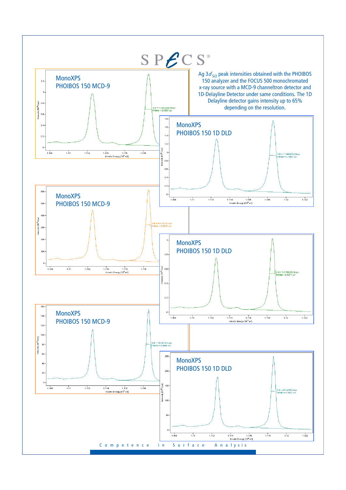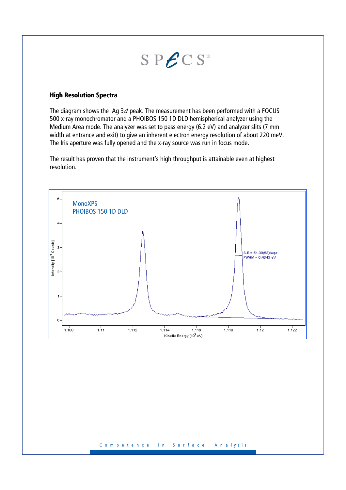# $SP\mathcal{E}CS^*$

#### **High Resolution Spectra**

The diagram shows the Ag  $3d$  peak. The measurement has been performed with a FOCUS 500 x-ray monochromator and a PHOIBOS 150 1D DLD hemispherical analyzer using the Medium Area mode. The analyzer was set to pass energy (6.2 eV) and analyzer slits (7 mm width at entrance and exit) to give an inherent electron energy resolution of about 220 meV. The Iris aperture was fully opened and the x-ray source was run in focus mode.

The result has proven that the instrument's high throughput is attainable even at highest resolution.

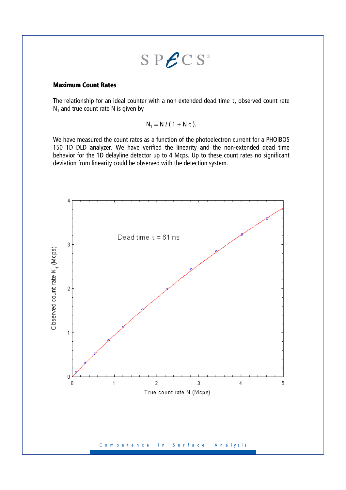$$
S\ P\mathcal{E} \ C\ S^*
$$

#### **Maximum Count Rates**

The relationship for an ideal counter with a non-extended dead time  $\tau$ , observed count rate  $N_1$  and true count rate N is given by

$$
N_1 = N / (1 + N \tau).
$$

We have measured the count rates as a function of the photoelectron current for a PHOIBOS 150 1D DLD analyzer. We have verified the linearity and the non-extended dead time behavior for the 1D delayline detector up to 4 Mcps. Up to these count rates no significant deviation from linearity could be observed with the detection system.

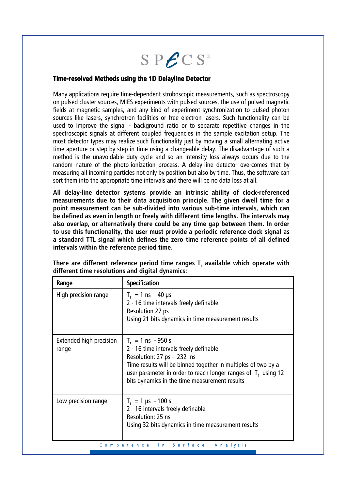

#### **Time-resolved Methods using the 1D Delayline Detector resolved Methods using the 1D Delayline Detector**

Many applications require time-dependent stroboscopic measurements, such as spectroscopy on pulsed cluster sources, MIES experiments with pulsed sources, the use of pulsed magnetic fields at magnetic samples, and any kind of experiment synchronization to pulsed photon sources like lasers, synchrotron facilities or free electron lasers. Such functionality can be used to improve the signal - background ratio or to separate repetitive changes in the spectroscopic signals at different coupled frequencies in the sample excitation setup. The most detector types may realize such functionality just by moving a small alternating active time aperture or step by step in time using a changeable delay. The disadvantage of such a method is the unavoidable duty cycle and so an intensity loss always occurs due to the random nature of the photo-ionization process. A delay-line detector overcomes that by measuring all incoming particles not only by position but also by time. Thus, the software can sort them into the appropriate time intervals and there will be no data loss at all.

**All delay-line detector systems provide an intrinsic ability of clock-referenced measurements due to their data acquisition principle. The given dwell time for a point measurement can be sub-divided into various sub-time intervals, which can be defined as even in length or freely with different time lengths. The intervals may also overlap, or alternatively there could be any time gap between them. In order to use this functionality, the user must provide a periodic reference clock signal as a standard TTL signal which defines the zero time reference points of all defined intervals within the reference period time.** 

| Range                                   | <b>Specification</b>                                                                                                                                                                                                                                                                   |
|-----------------------------------------|----------------------------------------------------------------------------------------------------------------------------------------------------------------------------------------------------------------------------------------------------------------------------------------|
| High precision range                    | $T_r = 1$ ns $- 40$ µs<br>2 - 16 time intervals freely definable<br>Resolution 27 ps<br>Using 21 bits dynamics in time measurement results                                                                                                                                             |
| <b>Extended high precision</b><br>range | $T_r = 1$ ns - 950 s<br>2 - 16 time intervals freely definable<br>Resolution: $27$ ps $- 232$ ms<br>Time results will be binned together in multiples of two by a<br>user parameter in order to reach longer ranges of $T_r$ using 12<br>bits dynamics in the time measurement results |
| Low precision range                     | $T_r = 1 \,\mu s - 100 \,\text{s}$<br>2 - 16 intervals freely definable<br>Resolution: 25 ns<br>Using 32 bits dynamics in time measurement results<br>in Surface<br>Competence<br>Analysis                                                                                             |

**There are different reference period time ranges T<sup>r</sup> available which operate with different time resolutions and digital dynamics:**